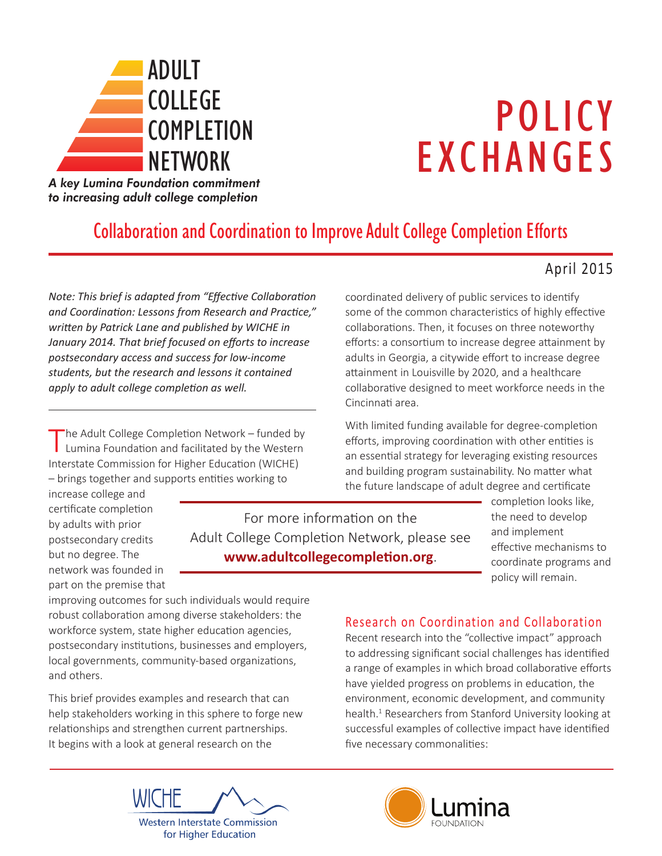

# POLICY EXCHANGES

*A key Lumina Foundation commitment to increasing adult college completion*

## Collaboration and Coordination to Improve Adult College Completion Efforts

## April 2015

*Note: This brief is adapted from "Effective Collaboration and Coordination: Lessons from Research and Practice," written by Patrick Lane and published by WICHE in January 2014. That brief focused on efforts to increase postsecondary access and success for low-income students, but the research and lessons it contained apply to adult college completion as well.*

'he Adult College Completion Network - funded by  $\blacksquare$  Lumina Foundation and facilitated by the Western Interstate Commission for Higher Education (WICHE) – brings together and supports entities working to

increase college and certificate completion by adults with prior postsecondary credits but no degree. The network was founded in part on the premise that

For more information on the Adult College Completion Network, please see **www.adultcollegecompletion.org**.

coordinated delivery of public services to identify some of the common characteristics of highly effective collaborations. Then, it focuses on three noteworthy efforts: a consortium to increase degree attainment by adults in Georgia, a citywide effort to increase degree attainment in Louisville by 2020, and a healthcare collaborative designed to meet workforce needs in the Cincinnati area.

With limited funding available for degree-completion efforts, improving coordination with other entities is an essential strategy for leveraging existing resources and building program sustainability. No matter what the future landscape of adult degree and certificate

completion looks like, the need to develop and implement effective mechanisms to coordinate programs and policy will remain.

improving outcomes for such individuals would require robust collaboration among diverse stakeholders: the workforce system, state higher education agencies, postsecondary institutions, businesses and employers, local governments, community-based organizations, and others.

This brief provides examples and research that can help stakeholders working in this sphere to forge new relationships and strengthen current partnerships. It begins with a look at general research on the

## Research on Coordination and Collaboration

Recent research into the "collective impact" approach to addressing significant social challenges has identified a range of examples in which broad collaborative efforts have yielded progress on problems in education, the environment, economic development, and community health.<sup>1</sup> Researchers from Stanford University looking at neard. Researchers from standard oniversity looking at successiui examples or conect<br>five necessary commonalities: mondituto.





<u>NETWORKS I</u>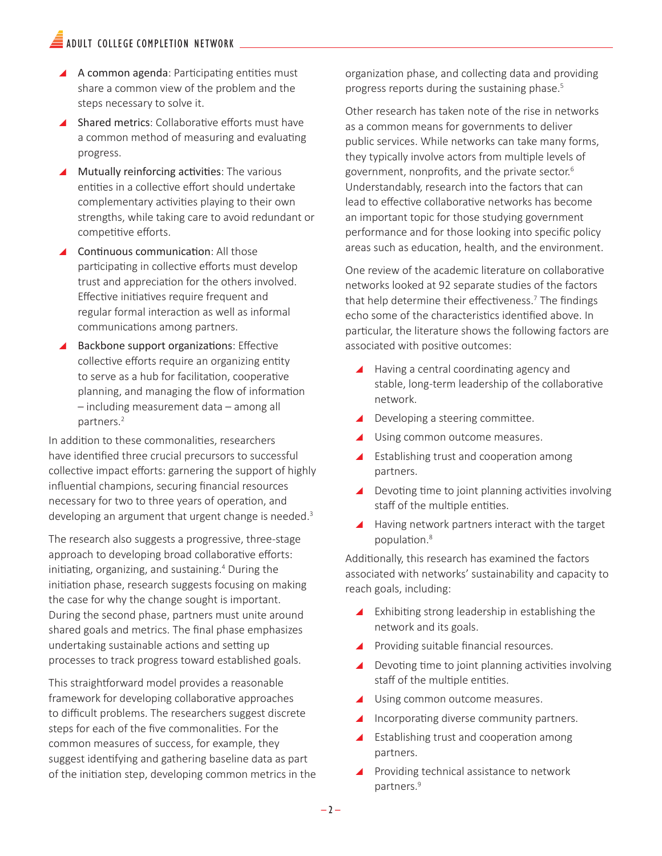## $\widehat{\equiv}$  adult college completion network

- $\blacktriangle$  A common agenda: Participating entities must share a common view of the problem and the steps necessary to solve it.
- \ Shared metrics: Collaborative efforts must have a common method of measuring and evaluating progress.
- $\blacktriangle$  Mutually reinforcing activities: The various entities in a collective effort should undertake complementary activities playing to their own strengths, while taking care to avoid redundant or competitive efforts.
- $\triangle$  Continuous communication: All those participating in collective efforts must develop trust and appreciation for the others involved. Effective initiatives require frequent and regular formal interaction as well as informal communications among partners.
- Backbone support organizations: Effective collective efforts require an organizing entity to serve as a hub for facilitation, cooperative planning, and managing the flow of information – including measurement data – among all partners.<sup>2</sup>

In addition to these commonalities, researchers have identified three crucial precursors to successful collective impact efforts: garnering the support of highly influential champions, securing financial resources necessary for two to three years of operation, and developing an argument that urgent change is needed.<sup>3</sup>

The research also suggests a progressive, three-stage approach to developing broad collaborative efforts: initiating, organizing, and sustaining.<sup>4</sup> During the initiation phase, research suggests focusing on making the case for why the change sought is important. During the second phase, partners must unite around shared goals and metrics. The final phase emphasizes undertaking sustainable actions and setting up processes to track progress toward established goals.

This straightforward model provides a reasonable framework for developing collaborative approaches to difficult problems. The researchers suggest discrete steps for each of the five commonalities. For the common measures of success, for example, they suggest identifying and gathering baseline data as part of the initiation step, developing common metrics in the organization phase, and collecting data and providing progress reports during the sustaining phase.<sup>5</sup>

Other research has taken note of the rise in networks as a common means for governments to deliver public services. While networks can take many forms, they typically involve actors from multiple levels of government, nonprofits, and the private sector.<sup>6</sup> Understandably, research into the factors that can lead to effective collaborative networks has become an important topic for those studying government performance and for those looking into specific policy areas such as education, health, and the environment.

One review of the academic literature on collaborative networks looked at 92 separate studies of the factors that help determine their effectiveness.<sup>7</sup> The findings echo some of the characteristics identified above. In particular, the literature shows the following factors are associated with positive outcomes:

- ▲ Having a central coordinating agency and stable, long-term leadership of the collaborative network.
- $\blacktriangle$  Developing a steering committee.
- $\blacktriangle$  Using common outcome measures.
- ▲ Establishing trust and cooperation among partners.
- $\blacktriangle$  Devoting time to joint planning activities involving staff of the multiple entities.
- $\blacktriangle$  Having network partners interact with the target population.<sup>8</sup>

Additionally, this research has examined the factors associated with networks' sustainability and capacity to reach goals, including:

- $\blacktriangle$  Exhibiting strong leadership in establishing the network and its goals.
- **A** Providing suitable financial resources.
- $\blacktriangle$  Devoting time to joint planning activities involving staff of the multiple entities.
- $\blacktriangle$  Using common outcome measures.
- ▲ Incorporating diverse community partners.
- ▲ Establishing trust and cooperation among partners.
- ▲ Providing technical assistance to network partners.<sup>9</sup>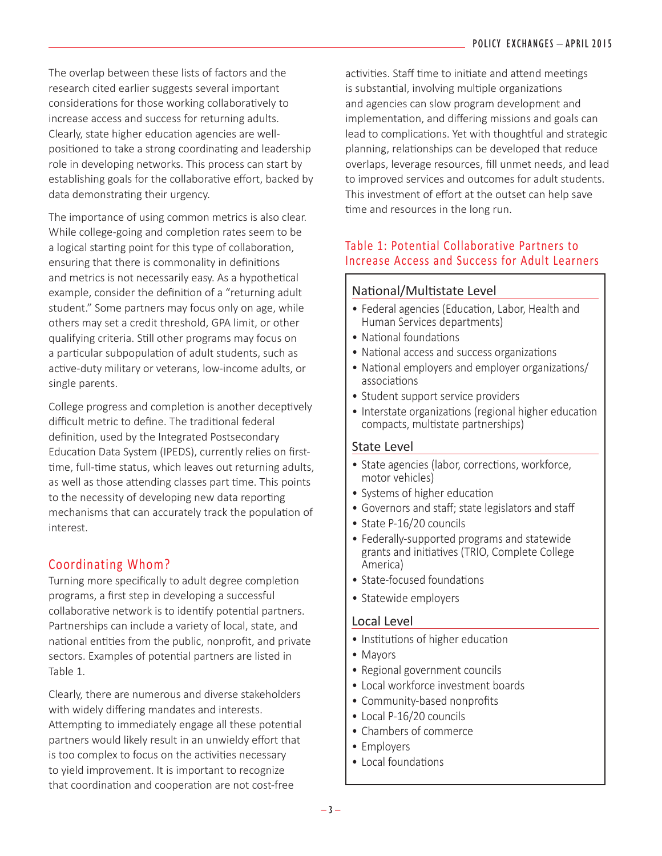The overlap between these lists of factors and the research cited earlier suggests several important considerations for those working collaboratively to increase access and success for returning adults. Clearly, state higher education agencies are wellpositioned to take a strong coordinating and leadership role in developing networks. This process can start by establishing goals for the collaborative effort, backed by data demonstrating their urgency.

The importance of using common metrics is also clear. While college-going and completion rates seem to be a logical starting point for this type of collaboration, ensuring that there is commonality in definitions and metrics is not necessarily easy. As a hypothetical example, consider the definition of a "returning adult student." Some partners may focus only on age, while others may set a credit threshold, GPA limit, or other qualifying criteria. Still other programs may focus on a particular subpopulation of adult students, such as active-duty military or veterans, low-income adults, or single parents.

College progress and completion is another deceptively difficult metric to define. The traditional federal definition, used by the Integrated Postsecondary Education Data System (IPEDS), currently relies on firsttime, full-time status, which leaves out returning adults, as well as those attending classes part time. This points to the necessity of developing new data reporting mechanisms that can accurately track the population of interest.

#### Coordinating Whom?

Turning more specifically to adult degree completion programs, a first step in developing a successful collaborative network is to identify potential partners. Partnerships can include a variety of local, state, and national entities from the public, nonprofit, and private sectors. Examples of potential partners are listed in Table 1.

Clearly, there are numerous and diverse stakeholders with widely differing mandates and interests. Attempting to immediately engage all these potential partners would likely result in an unwieldy effort that is too complex to focus on the activities necessary to yield improvement. It is important to recognize that coordination and cooperation are not cost-free

activities. Staff time to initiate and attend meetings is substantial, involving multiple organizations and agencies can slow program development and implementation, and differing missions and goals can lead to complications. Yet with thoughtful and strategic planning, relationships can be developed that reduce overlaps, leverage resources, fill unmet needs, and lead to improved services and outcomes for adult students. This investment of effort at the outset can help save time and resources in the long run.

#### Table 1: Potential Collaborative Partners to Increase Access and Success for Adult Learners

#### National/Multistate Level

- Federal agencies (Education, Labor, Health and Human Services departments)
- National foundations
- National access and success organizations
- National employers and employer organizations/ associations
- Student support service providers
- Interstate organizations (regional higher education compacts, multistate partnerships)

#### State Level

- State agencies (labor, corrections, workforce, motor vehicles)
- Systems of higher education
- Governors and staff; state legislators and staff
- State P-16/20 councils
- Federally-supported programs and statewide grants and initiatives (TRIO, Complete College America)
- State-focused foundations
- Statewide employers

#### Local Level

- Institutions of higher education
- Mayors
- Regional government councils
- Local workforce investment boards
- Community-based nonprofits
- Local P-16/20 councils
- Chambers of commerce
- Employers
- Local foundations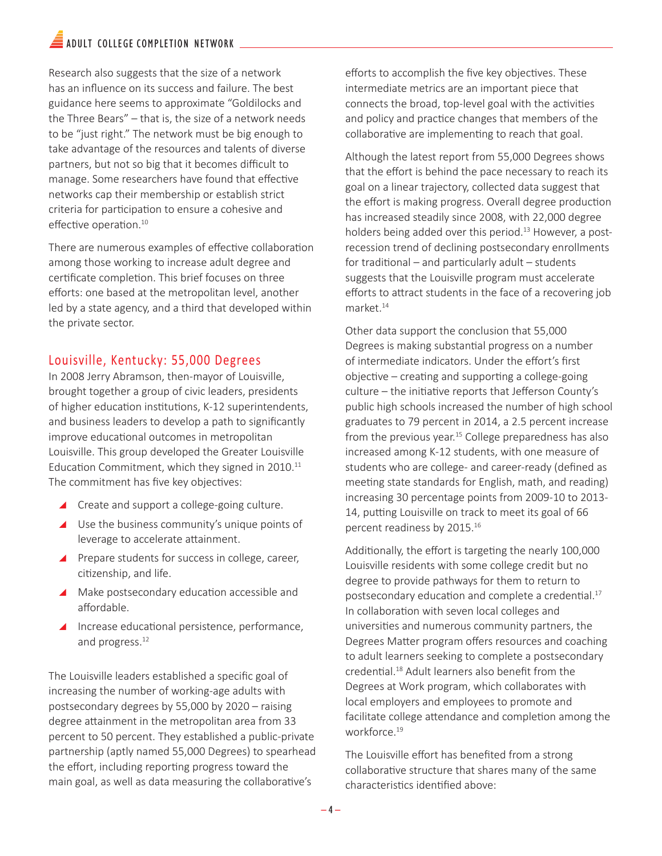## $\blacksquare$  ADULT COLLEGE COMPLETION NETWORK

Research also suggests that the size of a network has an influence on its success and failure. The best guidance here seems to approximate "Goldilocks and the Three Bears" – that is, the size of a network needs to be "just right." The network must be big enough to take advantage of the resources and talents of diverse partners, but not so big that it becomes difficult to manage. Some researchers have found that effective networks cap their membership or establish strict criteria for participation to ensure a cohesive and effective operation.<sup>10</sup>

There are numerous examples of effective collaboration among those working to increase adult degree and certificate completion. This brief focuses on three efforts: one based at the metropolitan level, another led by a state agency, and a third that developed within the private sector.

#### Louisville, Kentucky: 55,000 Degrees

In 2008 Jerry Abramson, then-mayor of Louisville, brought together a group of civic leaders, presidents of higher education institutions, K-12 superintendents, and business leaders to develop a path to significantly improve educational outcomes in metropolitan Louisville. This group developed the Greater Louisville Education Commitment, which they signed in 2010.<sup>11</sup> The commitment has five key objectives:

- ▲ Create and support a college-going culture.
- $\triangle$  Use the business community's unique points of leverage to accelerate attainment.
- ▲ Prepare students for success in college, career, citizenship, and life.
- $\blacktriangle$  Make postsecondary education accessible and affordable.
- ▲ Increase educational persistence, performance, and progress.<sup>12</sup>

The Louisville leaders established a specific goal of increasing the number of working-age adults with postsecondary degrees by 55,000 by 2020 – raising degree attainment in the metropolitan area from 33 percent to 50 percent. They established a public-private partnership (aptly named 55,000 Degrees) to spearhead the effort, including reporting progress toward the main goal, as well as data measuring the collaborative's

efforts to accomplish the five key objectives. These intermediate metrics are an important piece that connects the broad, top-level goal with the activities and policy and practice changes that members of the collaborative are implementing to reach that goal.

Although the latest report from 55,000 Degrees shows that the effort is behind the pace necessary to reach its goal on a linear trajectory, collected data suggest that the effort is making progress. Overall degree production has increased steadily since 2008, with 22,000 degree holders being added over this period.<sup>13</sup> However, a postrecession trend of declining postsecondary enrollments for traditional – and particularly adult – students suggests that the Louisville program must accelerate efforts to attract students in the face of a recovering job market.<sup>14</sup>

Other data support the conclusion that 55,000 Degrees is making substantial progress on a number of intermediate indicators. Under the effort's first objective – creating and supporting a college-going culture – the initiative reports that Jefferson County's public high schools increased the number of high school graduates to 79 percent in 2014, a 2.5 percent increase from the previous year.<sup>15</sup> College preparedness has also increased among K-12 students, with one measure of students who are college- and career-ready (defined as meeting state standards for English, math, and reading) increasing 30 percentage points from 2009-10 to 2013- 14, putting Louisville on track to meet its goal of 66 percent readiness by 2015.<sup>16</sup>

Additionally, the effort is targeting the nearly 100,000 Louisville residents with some college credit but no degree to provide pathways for them to return to postsecondary education and complete a credential.<sup>17</sup> In collaboration with seven local colleges and universities and numerous community partners, the Degrees Matter program offers resources and coaching to adult learners seeking to complete a postsecondary credential.<sup>18</sup> Adult learners also benefit from the Degrees at Work program, which collaborates with local employers and employees to promote and facilitate college attendance and completion among the workforce.19

The Louisville effort has benefited from a strong collaborative structure that shares many of the same characteristics identified above: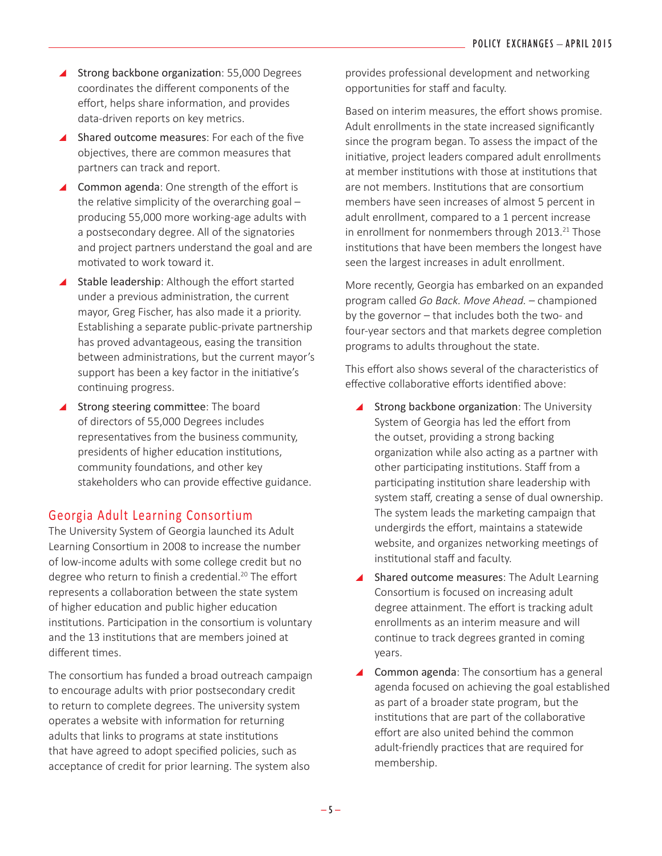- ▲ Strong backbone organization: 55,000 Degrees coordinates the different components of the effort, helps share information, and provides data-driven reports on key metrics.
- $\triangle$  Shared outcome measures: For each of the five objectives, there are common measures that partners can track and report.
- $\triangle$  Common agenda: One strength of the effort is the relative simplicity of the overarching goal – producing 55,000 more working-age adults with a postsecondary degree. All of the signatories and project partners understand the goal and are motivated to work toward it.
- ▲ Stable leadership: Although the effort started under a previous administration, the current mayor, Greg Fischer, has also made it a priority. Establishing a separate public-private partnership has proved advantageous, easing the transition between administrations, but the current mayor's support has been a key factor in the initiative's continuing progress.
- ▲ Strong steering committee: The board of directors of 55,000 Degrees includes representatives from the business community, presidents of higher education institutions, community foundations, and other key stakeholders who can provide effective guidance.

#### Georgia Adult Learning Consortium

The University System of Georgia launched its Adult Learning Consortium in 2008 to increase the number of low-income adults with some college credit but no degree who return to finish a credential.<sup>20</sup> The effort represents a collaboration between the state system of higher education and public higher education institutions. Participation in the consortium is voluntary and the 13 institutions that are members joined at different times.

The consortium has funded a broad outreach campaign to encourage adults with prior postsecondary credit to return to complete degrees. The university system operates a website with information for returning adults that links to programs at state institutions that have agreed to adopt specified policies, such as acceptance of credit for prior learning. The system also

provides professional development and networking opportunities for staff and faculty.

Based on interim measures, the effort shows promise. Adult enrollments in the state increased significantly since the program began. To assess the impact of the initiative, project leaders compared adult enrollments at member institutions with those at institutions that are not members. Institutions that are consortium members have seen increases of almost 5 percent in adult enrollment, compared to a 1 percent increase in enrollment for nonmembers through  $2013.<sup>21</sup>$  Those institutions that have been members the longest have seen the largest increases in adult enrollment.

More recently, Georgia has embarked on an expanded program called *Go Back. Move Ahead.* – championed by the governor – that includes both the two- and four-year sectors and that markets degree completion programs to adults throughout the state.

This effort also shows several of the characteristics of effective collaborative efforts identified above:

- Strong backbone organization: The University System of Georgia has led the effort from the outset, providing a strong backing organization while also acting as a partner with other participating institutions. Staff from a participating institution share leadership with system staff, creating a sense of dual ownership. The system leads the marketing campaign that undergirds the effort, maintains a statewide website, and organizes networking meetings of institutional staff and faculty.
- $\blacktriangle$  Shared outcome measures: The Adult Learning Consortium is focused on increasing adult degree attainment. The effort is tracking adult enrollments as an interim measure and will continue to track degrees granted in coming years.
- \ Common agenda: The consortium has a general agenda focused on achieving the goal established as part of a broader state program, but the institutions that are part of the collaborative effort are also united behind the common adult-friendly practices that are required for membership.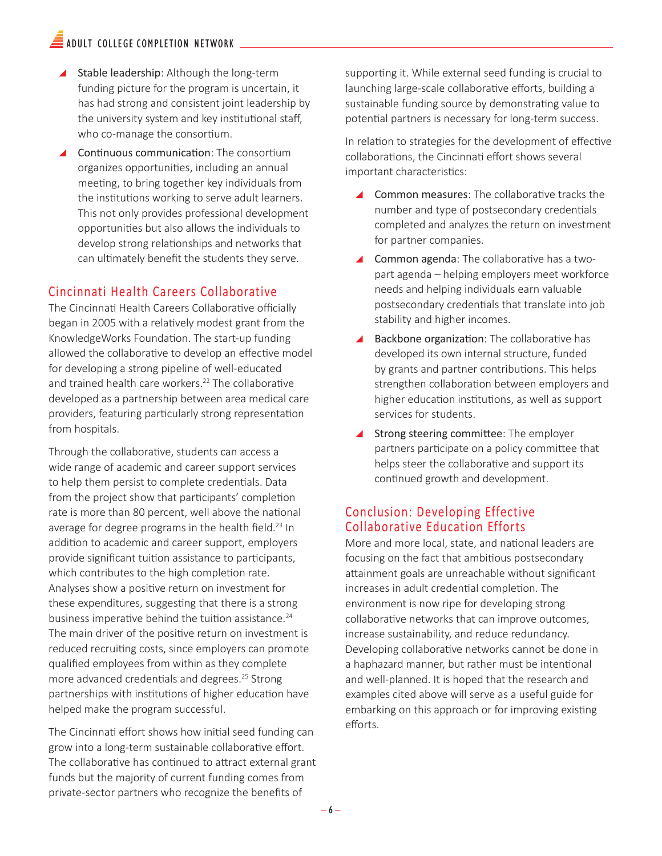## $\widehat{\equiv}$  adult college completion network

- $\triangle$  Stable leadership: Although the long-term funding picture for the program is uncertain, it has had strong and consistent joint leadership by the university system and key institutional staff, who co-manage the consortium.
- $\blacktriangle$  Continuous communication: The consortium organizes opportunities, including an annual meeting, to bring together key individuals from the institutions working to serve adult learners. This not only provides professional development opportunities but also allows the individuals to develop strong relationships and networks that can ultimately benefit the students they serve.

#### Cincinnati Health Careers Collaborative

The Cincinnati Health Careers Collaborative officially began in 2005 with a relatively modest grant from the KnowledgeWorks Foundation. The start-up funding allowed the collaborative to develop an effective model for developing a strong pipeline of well-educated and trained health care workers.<sup>22</sup> The collaborative developed as a partnership between area medical care providers, featuring particularly strong representation from hospitals.

Through the collaborative, students can access a wide range of academic and career support services to help them persist to complete credentials. Data from the project show that participants' completion rate is more than 80 percent, well above the national average for degree programs in the health field.<sup>23</sup> In addition to academic and career support, employers provide significant tuition assistance to participants, which contributes to the high completion rate. Analyses show a positive return on investment for these expenditures, suggesting that there is a strong business imperative behind the tuition assistance.<sup>24</sup> The main driver of the positive return on investment is reduced recruiting costs, since employers can promote qualified employees from within as they complete more advanced credentials and degrees.<sup>25</sup> Strong partnerships with institutions of higher education have helped make the program successful.

The Cincinnati effort shows how initial seed funding can grow into a long-term sustainable collaborative effort. The collaborative has continued to attract external grant funds but the majority of current funding comes from private-sector partners who recognize the benefits of

supporting it. While external seed funding is crucial to launching large-scale collaborative efforts, building a sustainable funding source by demonstrating value to potential partners is necessary for long-term success.

In relation to strategies for the development of effective collaborations, the Cincinnati effort shows several important characteristics:

- \ Common measures: The collaborative tracks the number and type of postsecondary credentials completed and analyzes the return on investment for partner companies.
- $\triangle$  Common agenda: The collaborative has a twopart agenda – helping employers meet workforce needs and helping individuals earn valuable postsecondary credentials that translate into job stability and higher incomes.
- $\blacktriangle$  Backbone organization: The collaborative has developed its own internal structure, funded by grants and partner contributions. This helps strengthen collaboration between employers and higher education institutions, as well as support services for students.
- ▲ Strong steering committee: The employer partners participate on a policy committee that helps steer the collaborative and support its continued growth and development.

#### Conclusion: Developing Effective Collaborative Education Efforts

More and more local, state, and national leaders are focusing on the fact that ambitious postsecondary attainment goals are unreachable without significant increases in adult credential completion. The environment is now ripe for developing strong collaborative networks that can improve outcomes, increase sustainability, and reduce redundancy. Developing collaborative networks cannot be done in a haphazard manner, but rather must be intentional and well-planned. It is hoped that the research and examples cited above will serve as a useful guide for embarking on this approach or for improving existing efforts.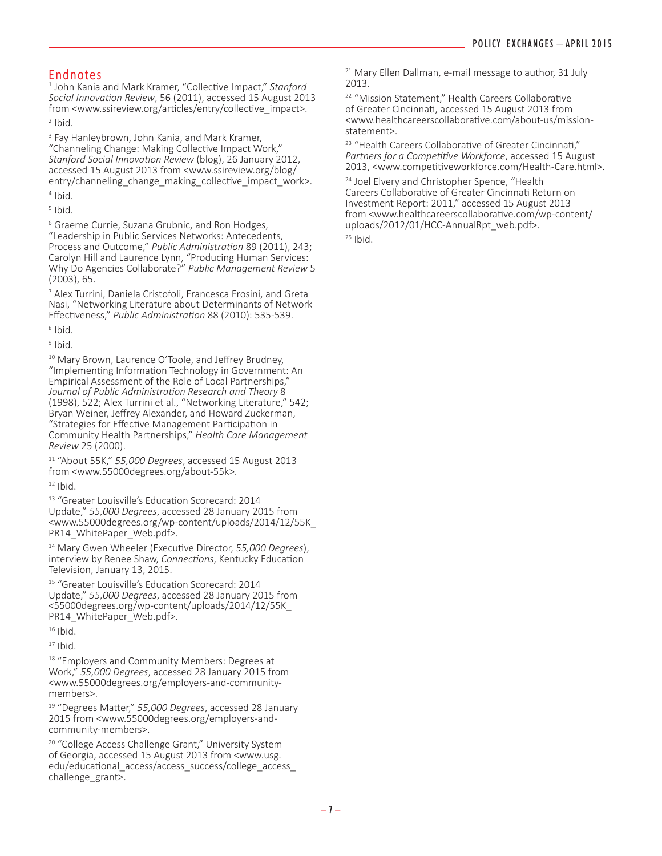#### Endnotes

1 John Kania and Mark Kramer, "Collective Impact," *Stanford Social Innovation Review*, 56 (2011), accessed 15 August 2013 from <www.ssireview.org/articles/entry/collective\_impact>.

 $2$  Ibid.

<sup>3</sup> Fay Hanleybrown, John Kania, and Mark Kramer, "Channeling Change: Making Collective Impact Work," *Stanford Social Innovation Review* (blog), 26 January 2012, accessed 15 August 2013 from <www.ssireview.org/blog/ entry/channeling change making collective impact work>. 4 Ibid.

 $<sup>5</sup>$  Ibid.</sup>

<sup>6</sup> Graeme Currie, Suzana Grubnic, and Ron Hodges, "Leadership in Public Services Networks: Antecedents, Process and Outcome," *Public Administration* 89 (2011), 243; Carolyn Hill and Laurence Lynn, "Producing Human Services: Why Do Agencies Collaborate?" *Public Management Review* 5 (2003), 65.

7 Alex Turrini, Daniela Cristofoli, Francesca Frosini, and Greta Nasi, "Networking Literature about Determinants of Network Effectiveness," *Public Administration* 88 (2010): 535-539.

8 Ibid.

<sup>9</sup> Ibid.

<sup>10</sup> Mary Brown, Laurence O'Toole, and Jeffrey Brudney, "Implementing Information Technology in Government: An Empirical Assessment of the Role of Local Partnerships," *Journal of Public Administration Research and Theory* 8 (1998), 522; Alex Turrini et al., "Networking Literature," 542; Bryan Weiner, Jeffrey Alexander, and Howard Zuckerman, "Strategies for Effective Management Participation in Community Health Partnerships," *Health Care Management Review* 25 (2000).

<sup>11</sup> "About 55K," *55,000 Degrees*, accessed 15 August 2013 from <www.55000degrees.org/about-55k>.

 $12$  Ibid.

<sup>13</sup> "Greater Louisville's Education Scorecard: 2014 Update," *55,000 Degrees*, accessed 28 January 2015 from <www.55000degrees.org/wp-content/uploads/2014/12/55K\_ PR14\_WhitePaper\_Web.pdf>.

<sup>14</sup> Mary Gwen Wheeler (Executive Director, *55,000 Degrees*), interview by Renee Shaw, *Connections*, Kentucky Education Television, January 13, 2015.

<sup>15</sup> "Greater Louisville's Education Scorecard: 2014 Update," *55,000 Degrees*, accessed 28 January 2015 from <55000degrees.org/wp-content/uploads/2014/12/55K\_ PR14\_WhitePaper\_Web.pdf>.

 $16$  Ibid.

 $17$  Ibid.

<sup>18</sup> "Employers and Community Members: Degrees at Work," *55,000 Degrees*, accessed 28 January 2015 from <www.55000degrees.org/employers-and-communitymembers>.

19 "Degrees Matter," *55,000 Degrees*, accessed 28 January 2015 from <www.55000degrees.org/employers-andcommunity-members>.

<sup>20</sup> "College Access Challenge Grant," University System of Georgia, accessed 15 August 2013 from <www.usg. edu/educational\_access/access\_success/college\_access\_ challenge\_grant>.

<sup>21</sup> Mary Ellen Dallman, e-mail message to author, 31 July 2013.

<sup>22</sup> "Mission Statement," Health Careers Collaborative of Greater Cincinnati, accessed 15 August 2013 from <www.healthcareerscollaborative.com/about-us/missionstatement>.

<sup>23</sup> "Health Careers Collaborative of Greater Cincinnati," *Partners for a Competitive Workforce*, accessed 15 August 2013, <www.competitiveworkforce.com/Health-Care.html>.

<sup>24</sup> Joel Elvery and Christopher Spence, "Health Careers Collaborative of Greater Cincinnati Return on Investment Report: 2011," accessed 15 August 2013 from <www.healthcareerscollaborative.com/wp-content/ uploads/2012/01/HCC-AnnualRpt\_web.pdf>.

 $25$  Ibid.